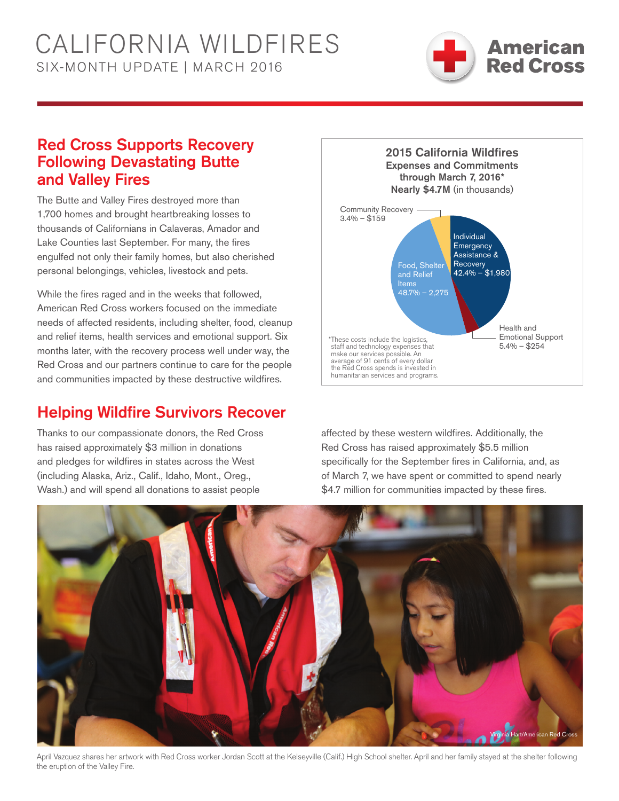# California WILDFIRES six-Month UPDATE | march 2016



### Red Cross Supports Recovery Following Devastating Butte and Valley Fires

The Butte and Valley Fires destroyed more than 1,700 homes and brought heartbreaking losses to thousands of Californians in Calaveras, Amador and Lake Counties last September. For many, the fires engulfed not only their family homes, but also cherished personal belongings, vehicles, livestock and pets.

While the fires raged and in the weeks that followed, American Red Cross workers focused on the immediate needs of affected residents, including shelter, food, cleanup and relief items, health services and emotional support. Six months later, with the recovery process well under way, the Red Cross and our partners continue to care for the people and communities impacted by these destructive wildfires.

## Helping Wildfire Survivors Recover

Thanks to our compassionate donors, the Red Cross has raised approximately \$3 million in donations and pledges for wildfires in states across the West (including Alaska, Ariz., Calif., Idaho, Mont., Oreg., Wash.) and will spend all donations to assist people



affected by these western wildfires. Additionally, the Red Cross has raised approximately \$5.5 million specifically for the September fires in California, and, as of March 7, we have spent or committed to spend nearly \$4.7 million for communities impacted by these fires.



April Vazquez shares her artwork with Red Cross worker Jordan Scott at the Kelseyville (Calif.) High School shelter. April and her family stayed at the shelter following the eruption of the Valley Fire.